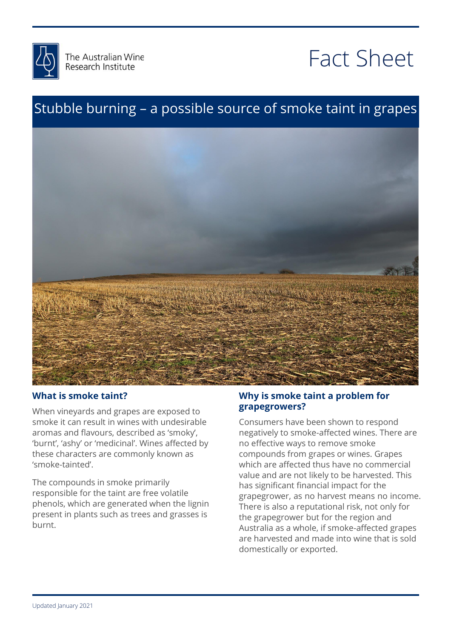

# Fact Sheet

### Stubble burning – a possible source of smoke taint in grapes



#### **What is smoke taint?**

When vineyards and grapes are exposed to smoke it can result in wines with undesirable aromas and flavours, described as 'smoky', 'burnt', 'ashy' or 'medicinal'. Wines affected by these characters are commonly known as 'smoke-tainted'.

The compounds in smoke primarily responsible for the taint are free volatile phenols, which are generated when the lignin present in plants such as trees and grasses is burnt.

#### Why is smoke taint a problem for<br>grapegrowers? **grapegrowers?**

negatively to smoke-affected wines. There are<br>no effective ways to remove smoke which are affected thus have no commercial<br>value and are not likely to be harvested. This me eigeneem mandeling persoon the<br>grapegrower, as no harvest means no incom<br>There is also a reputational risk, not only for Consumers have been shown to respond no effective ways to remove smoke compounds from grapes or wines. Grapes value and are not likely to be harvested. This has significant financial impact for the grapegrower, as no harvest means no income. the grapegrower but for the region and Australia as a whole, if smoke-affected grapes are harvested and made into wine that is sold domestically or exported.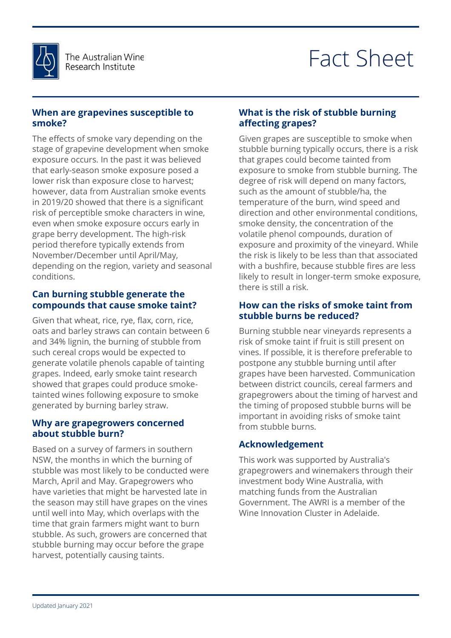

# Fact Sheet

#### **When are grapevines susceptible to smoke?**

The effects of smoke vary depending on the stage of grapevine development when smoke exposure occurs. In the past it was believed that early-season smoke exposure posed a lower risk than exposure close to harvest; however, data from Australian smoke events in 2019/20 showed that there is a significant risk of perceptible smoke characters in wine, even when smoke exposure occurs early in grape berry development. The high-risk period therefore typically extends from November/December until April/May, depending on the region, variety and seasonal conditions.

#### **Can burning stubble generate the compounds that cause smoke taint?**

Given that wheat, rice, rye, flax, corn, rice, oats and barley straws can contain between 6 and 34% lignin, the burning of stubble from such cereal crops would be expected to generate volatile phenols capable of tainting grapes. Indeed, early smoke taint research showed that grapes could produce smoketainted wines following exposure to smoke generated by burning barley straw.

#### **Why are grapegrowers concerned about stubble burn?**

Based on a survey of farmers in southern NSW, the months in which the burning of stubble was most likely to be conducted were March, April and May. Grapegrowers who have varieties that might be harvested late in the season may still have grapes on the vines until well into May, which overlaps with the time that grain farmers might want to burn stubble. As such, growers are concerned that stubble burning may occur before the grape harvest, potentially causing taints.

#### **What is the risk of stubble burning affecting grapes?**

exposure and proximity of the vineyard. While<br>the risk is likely to be less than that associated likely to result in longer-term smoke exposure,<br>there is still a risk. Given grapes are susceptible to smoke when stubble burning typically occurs, there is a risk that grapes could become tainted from exposure to smoke from stubble burning. The degree of risk will depend on many factors, such as the amount of stubble/ha, the temperature of the burn, wind speed and direction and other environmental conditions, smoke density, the concentration of the volatile phenol compounds, duration of exposure and proximity of the vineyard. While with a bushfire, because stubble fires are less there is still a risk.

#### How can the risks of smoke taint from<br>stubble burns be reduced? **stubble burns be reduced?**

Figuring Countries in the fruit is still present on<br>risk of smoke taint if fruit is still present on<br>vines. If possible, it is therefore preferable to postpone any stabble barring anticater<br>grapes have been harvested. Communication<br>between district councils, cereal farmers and wers about the timing or narvest and<br>g of proposed stubble burns will be<br>t in avoiding risks of smoke taint Burning stubble near vineyards represents a risk of smoke taint if fruit is still present on postpone any stubble burning until after between district councils, cereal farmers and grapegrowers about the timing of harvest and the timing of proposed stubble burns will be important in avoiding risks of smoke taint from stubble burns.

### mom stupple purns.<br>**Acknowledgement**

This work was supported by Australia's<br>grapegrowers and winemakers through their<br>investment he du Wine Australia with matching funds from the Australian<br>Government. The AWRI is a member of the<br>.... This work was supported by Australia's investment body Wine Australia, with matching funds from the Australian Wine Innovation Cluster in Adelaide.